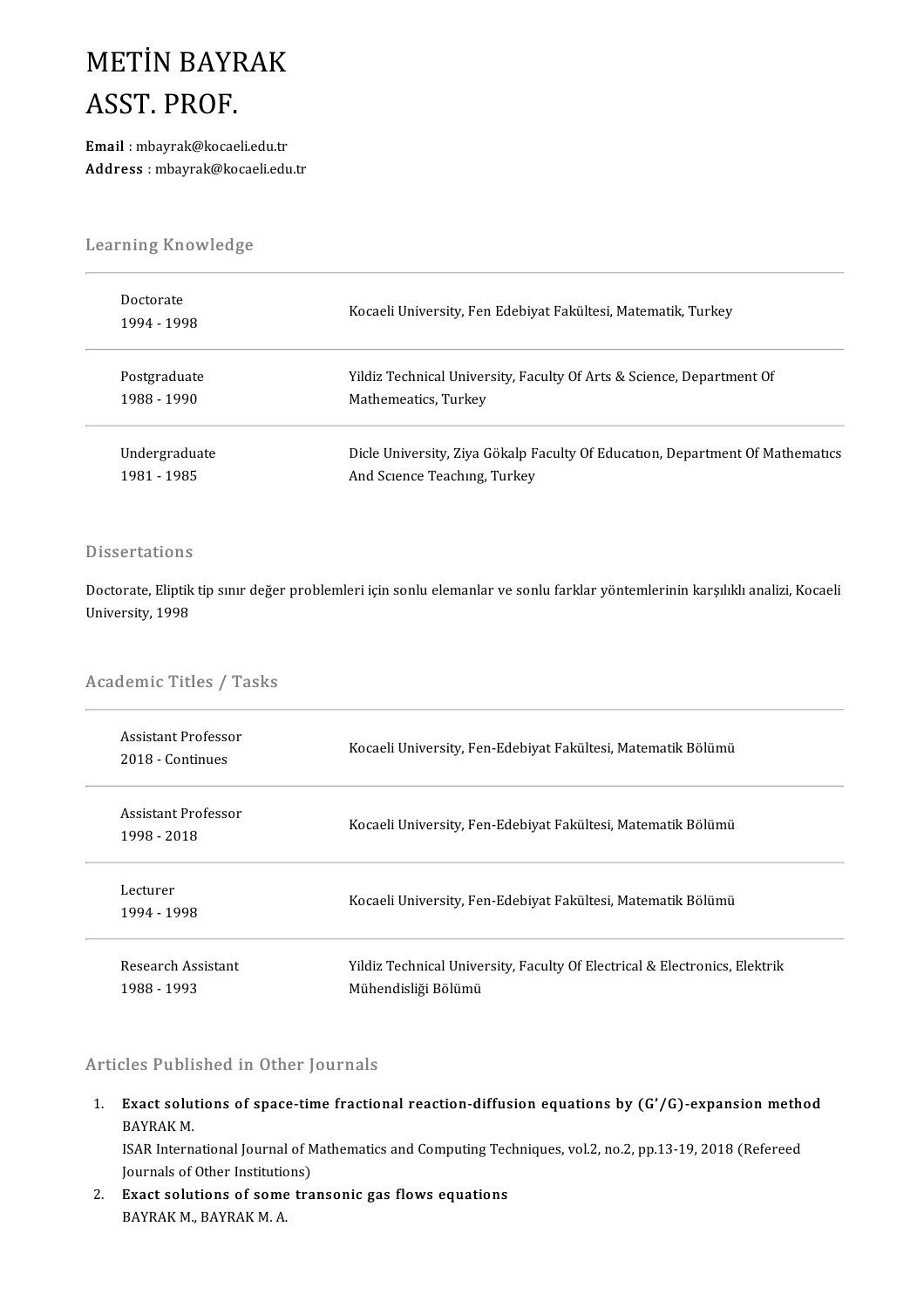### METİN BAYRAK<br>ASST PROF METIN BAYF<br>ASST. PROF.<br>Email : mbavrak@kocael ASST. PROF.<br>Email : mbayrak@kocaeli.edu.tr

Address :mbayrak@kocaeli.edu.tr

# .<br>Learning Knowledge

| Learning Knowledge       |                                                                               |
|--------------------------|-------------------------------------------------------------------------------|
| Doctorate<br>1994 - 1998 | Kocaeli University, Fen Edebiyat Fakültesi, Matematik, Turkey                 |
| Postgraduate             | Yildiz Technical University, Faculty Of Arts & Science, Department Of         |
| 1988 - 1990              | Mathemeatics, Turkey                                                          |
| Undergraduate            | Dicle University, Ziya Gökalp Faculty Of Education, Department Of Mathematics |
| 1981 - 1985              | And Science Teaching, Turkey                                                  |

#### **Dissertations**

Dissertations<br>Doctorate, Eliptik tip sınır değer problemleri için sonlu elemanlar ve sonlu farklar yöntemlerinin karşılıklı analizi, Kocaeli<br>University 1998 Bisser tacrons<br>Doctorate, Eliptik<br>University, 1998

# oniversity, 1998<br>Academic Titles / Tasks

| Academic Titles / Tasks                 |                                                                                                   |
|-----------------------------------------|---------------------------------------------------------------------------------------------------|
| Assistant Professor<br>2018 - Continues | Kocaeli University, Fen-Edebiyat Fakültesi, Matematik Bölümü                                      |
| Assistant Professor<br>1998 - 2018      | Kocaeli University, Fen-Edebiyat Fakültesi, Matematik Bölümü                                      |
| Lecturer<br>1994 - 1998                 | Kocaeli University, Fen-Edebiyat Fakultesi, Matematik Bölümü                                      |
| Research Assistant<br>1988 - 1993       | Yildiz Technical University, Faculty Of Electrical & Electronics, Elektrik<br>Mühendisliği Bölümü |

#### Articles Published in Other Journals

Irticles Published in Other Journals<br>1. Exact solutions of space-time fractional reaction-diffusion equations by (G'/G)-expansion method<br>RAVRAK M Exact solut<br>BAYRAK M.<br>ISAP Intern Exact solutions of space-time fractional reaction-diffusion equations by (G'/G)-expansion metho<br>BAYRAK M.<br>ISAR International Journal of Mathematics and Computing Techniques, vol.2, no.2, pp.13-19, 2018 (Refereed<br>Journals o BAYRAK M.<br>ISAR International Journal of Mathematics and Computing Techniques, vol.2, no.2, pp.13-19, 2018 (Refereed

Journals of Other Institutions)

2. Exact solutions of some transonic gas flows equations<br>BAYRAK M. BAYRAK M. A.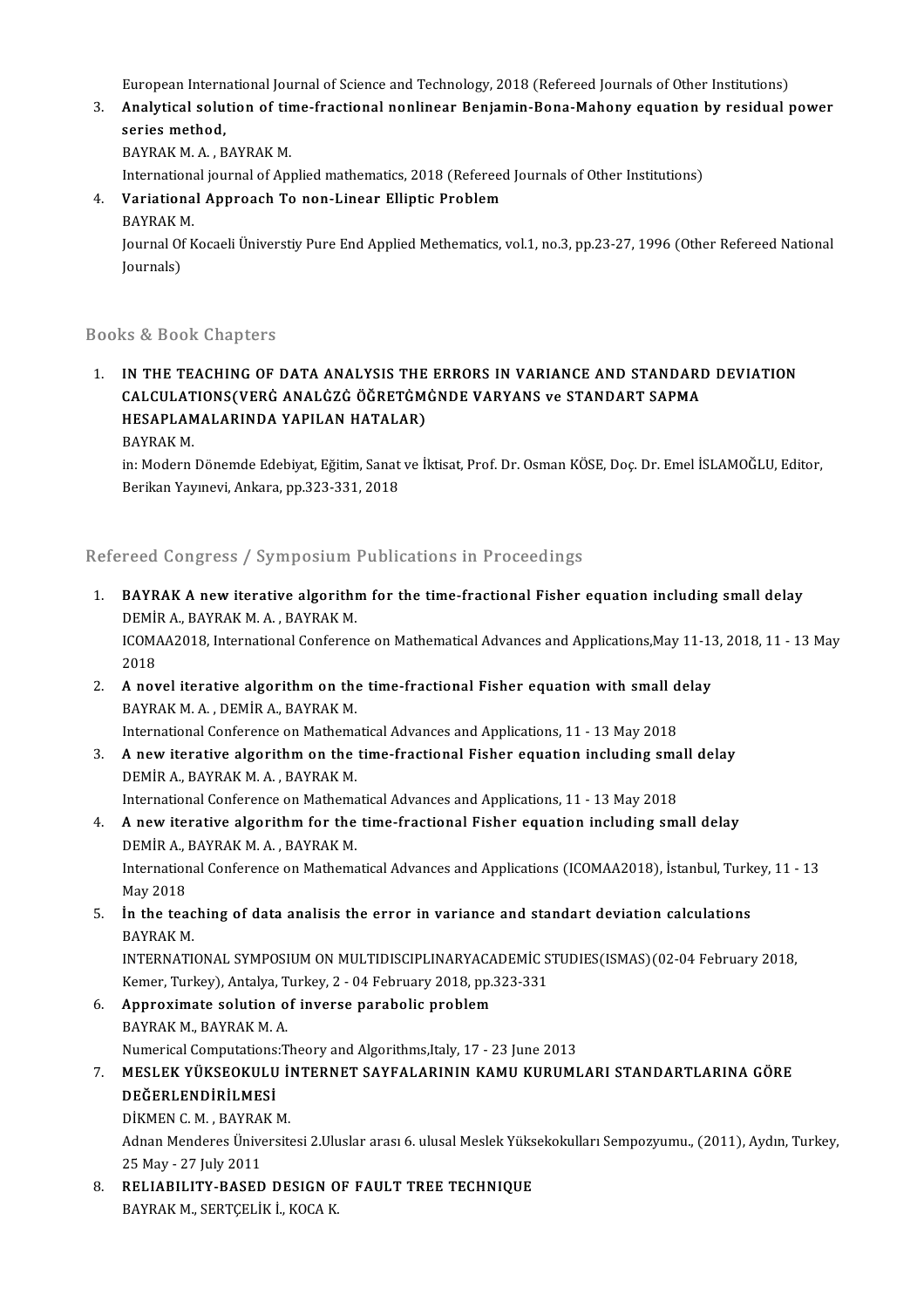European International Journal of Science and Technology, 2018 (Refereed Journals of Other Institutions)<br>Analytical calution of time fractional poplinear Peniamin Bona Mahany equation by residual :

European International Journal of Science and Technology, 2018 (Refereed Journals of Other Institutions)<br>3. Analytical solution of time-fractional nonlinear Benjamin-Bona-Mahony equation by residual power<br>201168 method European Intern<br><mark>Analytical solu</mark><br>series method,<br>PAVPAK M. A. P Analytical solution of tir<br>series method,<br>BAYRAK M. A. , BAYRAK M.<br>International journal of Any series method,<br>BAYRAK M. A. , BAYRAK M.<br>International journal of Applied mathematics, 2018 (Refereed Journals of Other Institutions)<br>Variational Approach To non Linear Ellintic Problem.

- BAYRAK M. A. , BAYRAK M.<br>International journal of Applied mathematics, 2018 (Referee<br>4. **Variational Approach To non-Linear Elliptic Problem**<br>BAYRAK M. Internationa<br>**Variationa**<br>BAYRAK M.<br>Journal Of K
	-

Variational Approach To non-Linear Elliptic Problem<br>BAYRAK M.<br>Journal Of Kocaeli Üniverstiy Pure End Applied Methematics, vol.1, no.3, pp.23-27, 1996 (Other Refereed National BAYRAK N<br>Journal Of<br>Journals)

## Journals)<br>Books & Book Chapters

1. IN THE TEACHING OF DATA ANALYSIS THE ERRORS IN VARIANCE AND STANDARD DEVIATION LS & BOOK GRAPCITS<br>IN THE TEACHING OF DATA ANALYSIS THE ERRORS IN VARIANCE AND STANDARI<br>CALCULATIONS(VERĠ ANALĠZĠ ÖĞRETĠMĠNDE VARYANS ve STANDART SAPMA IN THE TEACHING OF DATA ANALYSIS THE<br>CALCULATIONS(VERĠ ANALĠZĠ ÖĞRETĠM<br>HESAPLAMALARINDA YAPILAN HATALAR)<br>BAVRAK M CALCULAT<br>HESAPLAM<br>BAYRAK M.<br>in: Modern HESAPLAMALARINDA YAPILAN HATALAR)<br>BAYRAK M.<br>in: Modern Dönemde Edebiyat, Eğitim, Sanat ve İktisat, Prof. Dr. Osman KÖSE, Doç. Dr. Emel İSLAMOĞLU, Editor,<br>Barikan Yayınevi, Ankara, np.222,221, 2019.

BAYRAK M.<br>in: Modern Dönemde Edebiyat, Eğitim, Sanat<br>Berikan Yayınevi, Ankara, pp.323-331, 2018

## Berikan Yayınevi, Ankara, pp.323-331, 2018<br>Refereed Congress / Symposium Publications in Proceedings

- Refereed Congress / Symposium Publications in Proceedings<br>1. BAYRAK A new iterative algorithm for the time-fractional Fisher equation including small delay<br>DEMIR A RAYRAK A RAYRAK M BAYRAK A new iterative algorithm<br>DEMIR A., BAYRAK M. A., BAYRAK M.<br>ICOMA 42019, International Conference BAYRAK A new iterative algorithm for the time-fractional Fisher equation including small delay<br>DEMİR A., BAYRAK M. A. , BAYRAK M.<br>ICOMAA2018, International Conference on Mathematical Advances and Applications,May 11-13, 20 DEMİR A., BAYRAK M. A. , BAYRAK M.<br>ICOMAA2018, International Conference on Mathematical Advances and Applications,May 11-13, 2018, 11 - 13 May<br>2018 2. ICOMAA2018, International Conference on Mathematical Advances and Applications, May 11-13<br>2018<br>2. A novel iterative algorithm on the time-fractional Fisher equation with small delay<br>2. A novel iterative algorithm on the
- 2018<br><mark>A novel iterative algorithm on the</mark><br>BAYRAK M. A. , DEMİR A., BAYRAK M.<br>International Conference en Mathema A novel iterative algorithm on the time-fractional Fisher equation with small d<br>BAYRAK M. A. , DEMİR A., BAYRAK M.<br>International Conference on Mathematical Advances and Applications, 11 - 13 May 2018
- 3. BAYRAK M. A., DEMIR A., BAYRAK M.<br>International Conference on Mathematical Advances and Applications, 11 13 May 2018<br>3. A new iterative algorithm on the time-fractional Fisher equation including small delay<br>DEMID A. B International Conference on Mathema<br>A new iterative algorithm on the<br>DEMİR A., BAYRAK M. A. , BAYRAK M.<br>International Conference on Mathema A new iterative algorithm on the time-fractional Fisher equation including sma<br>DEMİR A., BAYRAK M. A. , BAYRAK M.<br>International Conference on Mathematical Advances and Applications, 11 - 13 May 2018

DEMİR A., BAYRAK M. A., BAYRAK M.<br>International Conference on Mathematical Advances and Applications, 11 - 13 May 2018<br>4. A new iterative algorithm for the time-fractional Fisher equation including small delay<br>DEMIR A. BAY International Conference on Mathema<br>A new iterative algorithm for the<br>DEMİR A., BAYRAK M. A. , BAYRAK M.<br>International Conference on Mathema A new iterative algorithm for the time-fractional Fisher equation including small delay<br>DEMİR A., BAYRAK M. A. , BAYRAK M.<br>International Conference on Mathematical Advances and Applications (ICOMAA2018), İstanbul, Turkey,

DEMIR A., l<br>Internation<br>May 2018<br>**in the tes** International Conference on Mathematical Advances and Applications (ICOMAA2018), İstanbul, Turk<br>May 2018<br>5. **İn the teaching of data analisis the error in variance and standart deviation calculations**<br>PAVPAK M

### May 2018<br>**In the teac**<br>BAYRAK M.<br>INTERNATI In the teaching of data analisis the error in variance and standart deviation calculations<br>BAYRAK M.<br>INTERNATIONAL SYMPOSIUM ON MULTIDISCIPLINARYACADEMIC STUDIES(ISMAS)(02-04 February 2018,<br>Kamar Turkay), Antalya Turkay, 2

BAYRAK M.<br>INTERNATIONAL SYMPOSIUM ON MULTIDISCIPLINARYACADEMİC STUDIES(ISMAS)(02-04 February 2018, Kemer, Turkey), Antalya, Turkey, 2 - 04 February 2018, pp.323-331

- 6. Approximate solution of inverse parabolic problem Approximate solution of inverse parabolic problem<br>BAYRAK M., BAYRAK M. A.<br>Numerical Computations:Theory and Algorithms,Italy, 17 - 23 June 2013<br>MESLEK VÜKSEOKULU U İNTERNET SAYEALARININ KAMU KURUMI
- BAYRAK M., BAYRAK M. A.<br>1. Numerical Computations:Theory and Algorithms,Italy, 17 23 June 2013<br>7. MESLEK YÜKSEOKULU İNTERNET SAYFALARININ KAMU KURUMLARI STANDARTLARINA GÖRE<br>1. DEĞEPI ENDİRLI MESİ Numerical Computations<br>MESLEK YÜKSEOKULU<br>DEĞERLENDİRİLMESİ<br>DİKMEN G.M., BAYBAKI MESLEK YÜKSEOKULU İ<br>DEĞERLENDİRİLMESİ<br>DİKMEN C. M. , BAYRAK M.<br>Adaan Mandanes Üniversit

DEĞERLENDİRİLMESİ<br>DİKMEN C. M. , BAYRAK M.<br>Adnan Menderes Üniversitesi 2.Uluslar arası 6. ulusal Meslek Yüksekokulları Sempozyumu., (2011), Aydın, Turkey, DİKMEN C. M. , BAYRA<br>Adnan Menderes Ünive<br>25 May - 27 July 2011<br>PELLAPU ITV BASED Adnan Menderes Üniversitesi 2.Uluslar arası 6. ulusal Meslek Yüks<br>25 May - 27 July 2011<br>8. RELIABILITY-BASED DESIGN OF FAULT TREE TECHNIQUE<br>PAVPAK M. SEPTCELIK İ. KOCA K

25 May - 27 July 2011<br><mark>RELIABILITY-BASED DESIGN 0</mark><br>BAYRAK M., SERTÇELİK İ., KOCA K.